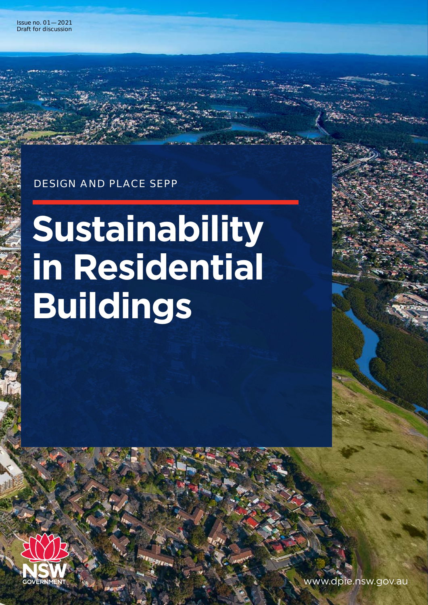### DESIGN AND PLACE SEPP

# **Sustainability in Residential Buildings**



MENT AND RESERVE CHARGE 2018 1999 WWW.dpie.nsw.gov.au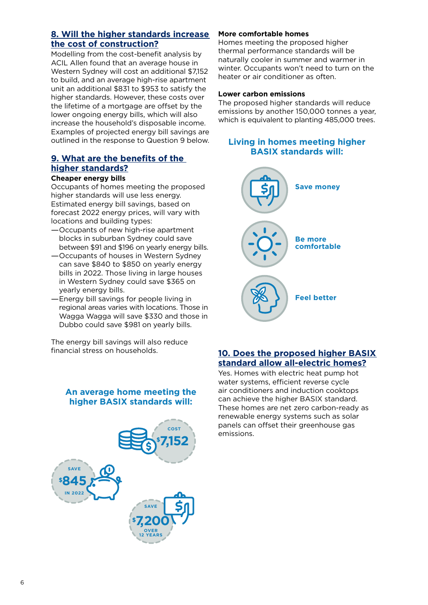#### **8. Will the higher standards increase the cost of construction?**

Modelling from the cost-benefit analysis by [ACIL Allen](https://www.planningportal.nsw.gov.au/sites/default/files/documents/2021/BASIX%20NCC%20alignment%20final%20report_font%20changed%28322831.1%29.pdf) found that an average house in Western Sydney will cost an additional \$7,152 to build, and an average high-rise apartment unit an additional \$831 to \$953 to satisfy the higher standards. However, these costs over the lifetime of a mortgage are offset by the lower ongoing energy bills, which will also increase the household's disposable income. Examples of projected energy bill savings are outlined in the response to Question 9 below.

#### **9. What are the benefits of the higher standards?**

#### **Cheaper energy bills**

Occupants of homes meeting the proposed higher standards will use less energy. Estimated energy bill savings, based on forecast 2022 energy prices, will vary with locations and building types:

- —Occupants of new high-rise apartment blocks in suburban Sydney could save between \$91 and \$196 on yearly energy bills.
- —Occupants of houses in Western Sydney can save \$840 to \$850 on yearly energy bills in 2022. Those living in large houses in Western Sydney could save \$365 on yearly energy bills.
- —Energy bill savings for people living in regional areas varies with locations. Those in Wagga Wagga will save \$330 and those in Dubbo could save \$981 on yearly bills.

The energy bill savings will also reduce financial stress on households.

#### **An average home meeting the higher BASIX standards will:**



#### **More comfortable homes**

Homes meeting the proposed higher thermal performance standards will be naturally cooler in summer and warmer in winter. Occupants won't need to turn on the heater or air conditioner as often.

#### **Lower carbon emissions**

The proposed higher standards will reduce emissions by another 150,000 tonnes a year, which is equivalent to planting 485,000 trees.

#### **Living in homes meeting higher BASIX standards will:**



#### **10. Does the proposed higher BASIX standard allow all-electric homes?**

Yes. Homes with electric heat pump hot water systems, efficient reverse cycle air conditioners and induction cooktops can achieve the higher BASIX standard. These homes are net zero carbon-ready as renewable energy systems such as solar panels can offset their greenhouse gas emissions.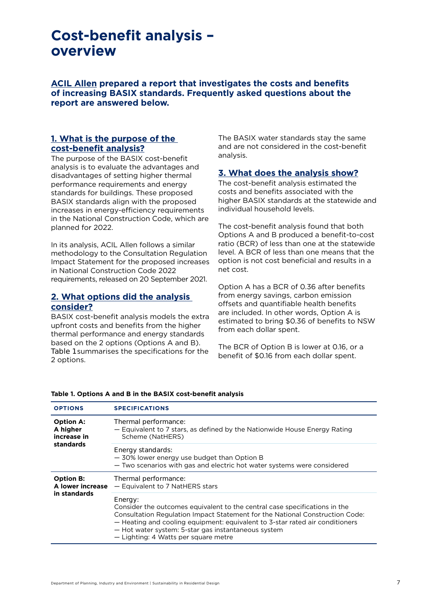## **Cost-benefit analysis – overview**

**[ACIL Allen](https://www.planningportal.nsw.gov.au/sites/default/files/documents/2021/BASIX%20NCC%20alignment%20final%20report_font%20changed%28322831.1%29.pdf) prepared a report that investigates the costs and benefits of increasing BASIX standards. Frequently asked questions about the report are answered below.**

#### **1. What is the purpose of the cost-benefit analysis?**

The purpose of the BASIX cost-benefit analysis is to evaluate the advantages and disadvantages of setting higher thermal performance requirements and energy standards for buildings. These proposed BASIX standards align with the proposed increases in energy-efficiency requirements in the National Construction Code, which are planned for 2022.

In its analysis, [ACIL Allen](https://www.planningportal.nsw.gov.au/sites/default/files/documents/2021/BASIX%20NCC%20alignment%20final%20report_font%20changed%28322831.1%29.pdf) follows a similar methodology to the [Consultation Regulation](https://consultation.abcb.gov.au/engagement/consultation-ris-proposed-ncc-2022-residential/)  [Impact Statement](https://consultation.abcb.gov.au/engagement/consultation-ris-proposed-ncc-2022-residential/) for the proposed increases in National Construction Code 2022 requirements, released on 20 September 2021.

#### **2. What options did the analysis consider?**

BASIX cost-benefit analysis models the extra upfront costs and benefits from the higher thermal performance and energy standards based on the 2 options (Options A and B). Table 1 summarises the specifications for the 2 options.

The BASIX water standards stay the same and are not considered in the cost-benefit analysis.

#### **3. What does the analysis show?**

The cost-benefit analysis estimated the costs and benefits associated with the higher BASIX standards at the statewide and individual household levels.

The cost-benefit analysis found that both Options A and B produced a benefit-to-cost ratio (BCR) of less than one at the statewide level. A BCR of less than one means that the option is not cost beneficial and results in a net cost.

Option A has a BCR of 0.36 after benefits from energy savings, carbon emission offsets and quantifiable health benefits are included. In other words, Option A is estimated to bring \$0.36 of benefits to NSW from each dollar spent.

The BCR of Option B is lower at 0.16, or a benefit of \$0.16 from each dollar spent.

| <b>OPTIONS</b>                                           | <b>SPECIFICATIONS</b>                                                                                                                                                                                                                                                                                                                                |
|----------------------------------------------------------|------------------------------------------------------------------------------------------------------------------------------------------------------------------------------------------------------------------------------------------------------------------------------------------------------------------------------------------------------|
| <b>Option A:</b><br>A higher<br>increase in<br>standards | Thermal performance:<br>- Equivalent to 7 stars, as defined by the Nationwide House Energy Rating<br>Scheme (NatHERS)                                                                                                                                                                                                                                |
|                                                          | Energy standards:<br>- 30% lower energy use budget than Option B<br>- Two scenarios with gas and electric hot water systems were considered                                                                                                                                                                                                          |
| <b>Option B:</b><br>A lower increase<br>in standards     | Thermal performance:<br>- Equivalent to 7 NatHERS stars                                                                                                                                                                                                                                                                                              |
|                                                          | Energy:<br>Consider the outcomes equivalent to the central case specifications in the<br>Consultation Regulation Impact Statement for the National Construction Code:<br>- Heating and cooling equipment: equivalent to 3-star rated air conditioners<br>- Hot water system: 5-star gas instantaneous system<br>- Lighting: 4 Watts per square metre |

#### **Table 1. Options A and B in the BASIX cost-benefit analysis**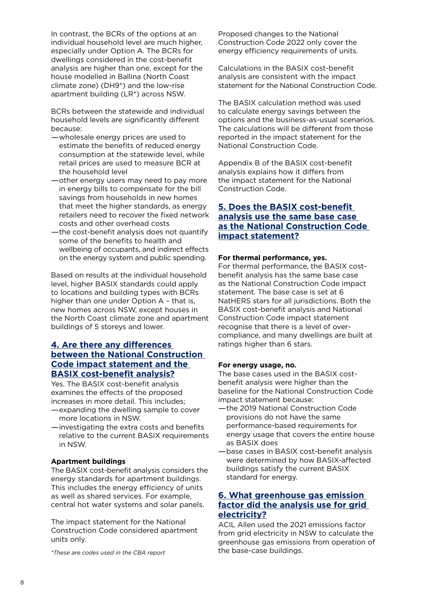In contrast, the BCRs of the options at an individual household level are much higher, especially under Option A. The BCRs for dwellings considered in the cost-benefit analysis are higher than one, except for the house modelled in Ballina (North Coast climate zone) (DH9\*) and the low-rise apartment building (LR\*) across NSW.

BCRs between the statewide and individual household levels are significantly different because:

- —wholesale energy prices are used to estimate the benefits of reduced energy consumption at the statewide level, while retail prices are used to measure BCR at the household level
- —other energy users may need to pay more in energy bills to compensate for the bill savings from households in new homes that meet the higher standards, as energy retailers need to recover the fixed network costs and other overhead costs
- —the cost-benefit analysis does not quantify some of the benefits to health and wellbeing of occupants, and indirect effects on the energy system and public spending.

Based on results at the individual household level, higher BASIX standards could apply to locations and building types with BCRs higher than one under Option A – that is, new homes across NSW, except houses in the North Coast climate zone and apartment buildings of 5 storeys and lower.

#### **4. Are there any differences between the National Construction Code impact statement and the BASIX cost-benefit analysis?**

Yes. The BASIX cost-benefit analysis examines the effects of the proposed increases in more detail. This includes;

- —expanding the dwelling sample to cover more locations in NSW.
- —investigating the extra costs and benefits relative to the current BASIX requirements in NSW.

#### **Apartment buildings**

The BASIX cost-benefit analysis considers the energy standards for apartment buildings. This includes the energy efficiency of units as well as shared services. For example, central hot water systems and solar panels.

The impact statement for the National Construction Code considered apartment units only.

the base-case buildings. *\*These are codes used in the CBA report*

Proposed changes to the National Construction Code 2022 only cover the energy efficiency requirements of units.

Calculations in the BASIX cost-benefit analysis are consistent with the impact statement for the National Construction Code.

The BASIX calculation method was used to calculate energy savings between the options and the business-as-usual scenarios. The calculations will be different from those reported in the impact statement for the National Construction Code.

Appendix B of the BASIX cost-benefit analysis explains how it differs from the impact statement for the National Construction Code.

#### **5. Does the BASIX cost-benefit analysis use the same base case as the National Construction Code impact statement?**

#### **For thermal performance, yes.**

For thermal performance, the BASIX costbenefit analysis has the same base case as the National Construction Code impact statement. The base case is set at 6 NatHERS stars for all jurisdictions. Both the BASIX cost-benefit analysis and National Construction Code impact statement recognise that there is a level of overcompliance, and many dwellings are built at ratings higher than 6 stars.

#### **For energy usage, no.**

The base cases used in the BASIX costbenefit analysis were higher than the baseline for the National Construction Code impact statement because:

- —the 2019 National Construction Code provisions do not have the same performance-based requirements for energy usage that covers the entire house as BASIX does
- —base cases in BASIX cost-benefit analysis were determined by how BASIX-affected buildings satisfy the current BASIX standard for energy.

#### **6. What greenhouse gas emission factor did the analysis use for grid electricity?**

[ACIL Allen](https://www.planningportal.nsw.gov.au/sites/default/files/documents/2021/BASIX%20NCC%20alignment%20final%20report_font%20changed%28322831.1%29.pdf) used the 2021 emissions factor from grid electricity in NSW to calculate the greenhouse gas emissions from operation of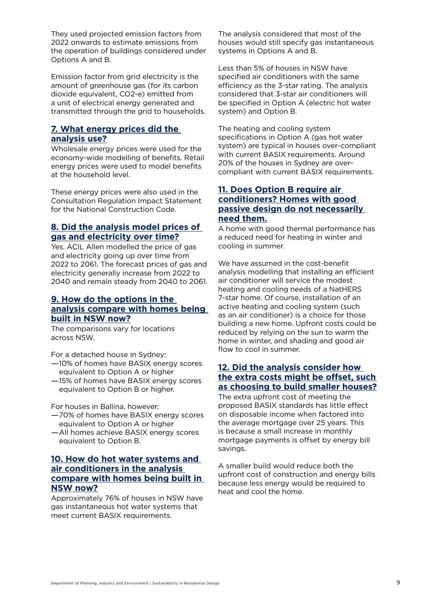They used projected emission factors from 2022 onwards to estimate emissions from the operation of buildings considered under Options A and B.

Emission factor from grid electricity is the amount of greenhouse gas (for its carbon dioxide equivalent, CO2-e) emitted from a unit of electrical energy generated and transmitted through the grid to households.

#### **7. What energy prices did the analysis use?**

Wholesale energy prices were used for the economy-wide modelling of benefits. Retail energy prices were used to model benefits at the household level.

These energy prices were also used in the Consultation Regulation Impact Statement for the National Construction Code.

#### **8. Did the analysis model prices of gas and electricity over time?**

Yes. [ACIL Allen](https://www.planningportal.nsw.gov.au/sites/default/files/documents/2021/BASIX%20NCC%20alignment%20final%20report_font%20changed%28322831.1%29.pdf) modelled the price of gas and electricity going up over time from 2022 to 2061. The forecast prices of gas and electricity generally increase from 2022 to 2040 and remain steady from 2040 to 2061.

#### **9. How do the options in the analysis compare with homes being built in NSW now?**

The comparisons vary for locations across NSW.

For a detached house in Sydney:

- —10% of homes have BASIX energy scores equivalent to Option A or higher
- —15% of homes have BASIX energy scores equivalent to Option B or higher.

For houses in Ballina, however:

- —70% of homes have BASIX energy scores equivalent to Option A or higher
- —All homes achieve BASIX energy scores equivalent to Option B.

#### **10. How do hot water systems and air conditioners in the analysis compare with homes being built in NSW now?**

Approximately 76% of houses in NSW have gas instantaneous hot water systems that meet current BASIX requirements.

The analysis considered that most of the houses would still specify gas instantaneous systems in Options A and B.

Less than 5% of houses in NSW have specified air conditioners with the same efficiency as the 3-star rating. The analysis considered that 3-star air conditioners will be specified in Option A (electric hot water system) and Option B.

The heating and cooling system specifications in Option A (gas hot water system) are typical in houses over-compliant with current BASIX requirements. Around 20% of the houses in Sydney are overcompliant with current BASIX requirements.

#### **11. Does Option B require air conditioners? Homes with good passive design do not necessarily need them.**

A home with good thermal performance has a reduced need for heating in winter and cooling in summer.

We have assumed in the cost-benefit analysis modelling that installing an efficient air conditioner will service the modest heating and cooling needs of a NatHERS 7-star home. Of course, installation of an active heating and cooling system (such as an air conditioner) is a choice for those building a new home. Upfront costs could be reduced by relying on the sun to warm the home in winter, and shading and good air flow to cool in summer.

#### **12. Did the analysis consider how the extra costs might be offset, such as choosing to build smaller houses?**

The extra upfront cost of meeting the proposed BASIX standards has little effect on disposable income when factored into the average mortgage over 25 years. This is because a small increase in monthly mortgage payments is offset by energy bill savings.

A smaller build would reduce both the upfront cost of construction and energy bills because less energy would be required to heat and cool the home.